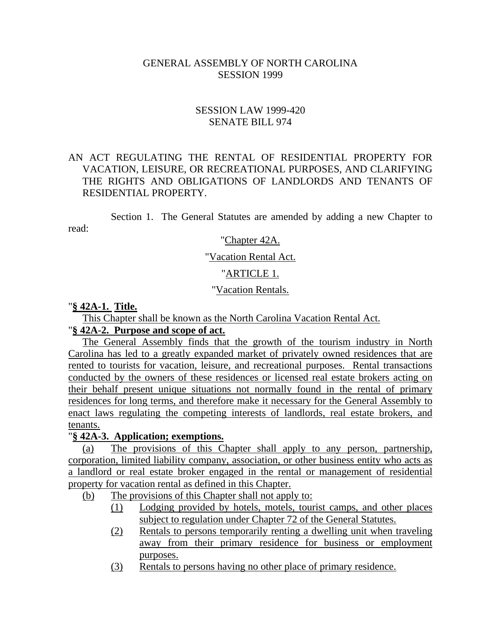#### GENERAL ASSEMBLY OF NORTH CAROLINA SESSION 1999

### SESSION LAW 1999-420 SENATE BILL 974

### AN ACT REGULATING THE RENTAL OF RESIDENTIAL PROPERTY FOR VACATION, LEISURE, OR RECREATIONAL PURPOSES, AND CLARIFYING THE RIGHTS AND OBLIGATIONS OF LANDLORDS AND TENANTS OF RESIDENTIAL PROPERTY.

Section 1. The General Statutes are amended by adding a new Chapter to read:

#### "Chapter 42A.

#### "Vacation Rental Act.

#### "ARTICLE 1.

#### "Vacation Rentals.

#### "**§ 42A-1. Title.**

This Chapter shall be known as the North Carolina Vacation Rental Act.

#### "**§ 42A-2. Purpose and scope of act.**

The General Assembly finds that the growth of the tourism industry in North Carolina has led to a greatly expanded market of privately owned residences that are rented to tourists for vacation, leisure, and recreational purposes. Rental transactions conducted by the owners of these residences or licensed real estate brokers acting on their behalf present unique situations not normally found in the rental of primary residences for long terms, and therefore make it necessary for the General Assembly to enact laws regulating the competing interests of landlords, real estate brokers, and tenants.

#### "**§ 42A-3. Application; exemptions.**

(a) The provisions of this Chapter shall apply to any person, partnership, corporation, limited liability company, association, or other business entity who acts as a landlord or real estate broker engaged in the rental or management of residential property for vacation rental as defined in this Chapter.

(b) The provisions of this Chapter shall not apply to:

- (1) Lodging provided by hotels, motels, tourist camps, and other places subject to regulation under Chapter 72 of the General Statutes.
- (2) Rentals to persons temporarily renting a dwelling unit when traveling away from their primary residence for business or employment purposes.
- (3) Rentals to persons having no other place of primary residence.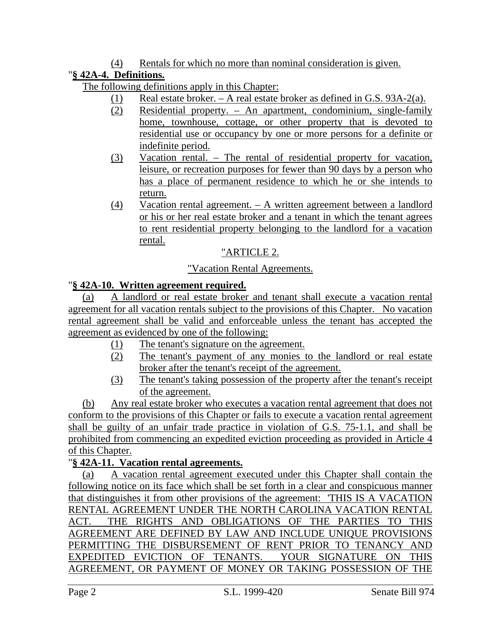## (4) Rentals for which no more than nominal consideration is given.

# "**§ 42A-4. Definitions.**

The following definitions apply in this Chapter:

- (1) Real estate broker. A real estate broker as defined in G.S. 93A-2(a).
- (2) Residential property. An apartment, condominium, single-family home, townhouse, cottage, or other property that is devoted to residential use or occupancy by one or more persons for a definite or indefinite period.
- (3) Vacation rental. The rental of residential property for vacation, leisure, or recreation purposes for fewer than 90 days by a person who has a place of permanent residence to which he or she intends to return.
- (4) Vacation rental agreement. A written agreement between a landlord or his or her real estate broker and a tenant in which the tenant agrees to rent residential property belonging to the landlord for a vacation rental.

# "ARTICLE 2.

## "Vacation Rental Agreements.

## "**§ 42A-10. Written agreement required.**

(a) A landlord or real estate broker and tenant shall execute a vacation rental agreement for all vacation rentals subject to the provisions of this Chapter. No vacation rental agreement shall be valid and enforceable unless the tenant has accepted the agreement as evidenced by one of the following:

- (1) The tenant's signature on the agreement.
- (2) The tenant's payment of any monies to the landlord or real estate broker after the tenant's receipt of the agreement.
- (3) The tenant's taking possession of the property after the tenant's receipt of the agreement.

(b) Any real estate broker who executes a vacation rental agreement that does not conform to the provisions of this Chapter or fails to execute a vacation rental agreement shall be guilty of an unfair trade practice in violation of G.S. 75-1.1, and shall be prohibited from commencing an expedited eviction proceeding as provided in Article 4 of this Chapter.

## "**§ 42A-11. Vacation rental agreements.**

(a) A vacation rental agreement executed under this Chapter shall contain the following notice on its face which shall be set forth in a clear and conspicuous manner that distinguishes it from other provisions of the agreement: 'THIS IS A VACATION RENTAL AGREEMENT UNDER THE NORTH CAROLINA VACATION RENTAL ACT. THE RIGHTS AND OBLIGATIONS OF THE PARTIES TO THIS AGREEMENT ARE DEFINED BY LAW AND INCLUDE UNIQUE PROVISIONS PERMITTING THE DISBURSEMENT OF RENT PRIOR TO TENANCY AND EXPEDITED EVICTION OF TENANTS. YOUR SIGNATURE ON THIS AGREEMENT, OR PAYMENT OF MONEY OR TAKING POSSESSION OF THE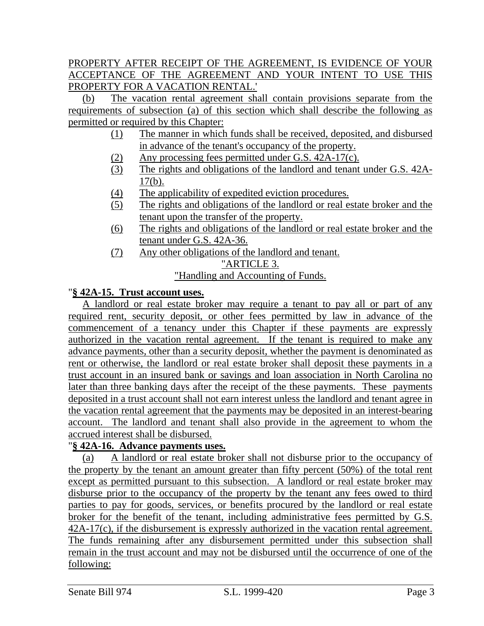## PROPERTY AFTER RECEIPT OF THE AGREEMENT, IS EVIDENCE OF YOUR ACCEPTANCE OF THE AGREEMENT AND YOUR INTENT TO USE THIS PROPERTY FOR A VACATION RENTAL.'

(b) The vacation rental agreement shall contain provisions separate from the requirements of subsection (a) of this section which shall describe the following as permitted or required by this Chapter:

- (1) The manner in which funds shall be received, deposited, and disbursed in advance of the tenant's occupancy of the property.
- (2) Any processing fees permitted under G.S. 42A-17(c).
- (3) The rights and obligations of the landlord and tenant under G.S. 42A- $17(b)$ .
- (4) The applicability of expedited eviction procedures.
- (5) The rights and obligations of the landlord or real estate broker and the tenant upon the transfer of the property.
- (6) The rights and obligations of the landlord or real estate broker and the tenant under G.S. 42A-36.
- (7) Any other obligations of the landlord and tenant. "ARTICLE 3.

# "Handling and Accounting of Funds.

### "**§ 42A-15. Trust account uses.**

A landlord or real estate broker may require a tenant to pay all or part of any required rent, security deposit, or other fees permitted by law in advance of the commencement of a tenancy under this Chapter if these payments are expressly authorized in the vacation rental agreement. If the tenant is required to make any advance payments, other than a security deposit, whether the payment is denominated as rent or otherwise, the landlord or real estate broker shall deposit these payments in a trust account in an insured bank or savings and loan association in North Carolina no later than three banking days after the receipt of the these payments. These payments deposited in a trust account shall not earn interest unless the landlord and tenant agree in the vacation rental agreement that the payments may be deposited in an interest-bearing account. The landlord and tenant shall also provide in the agreement to whom the accrued interest shall be disbursed.

#### "**§ 42A-16. Advance payments uses.**

(a) A landlord or real estate broker shall not disburse prior to the occupancy of the property by the tenant an amount greater than fifty percent (50%) of the total rent except as permitted pursuant to this subsection. A landlord or real estate broker may disburse prior to the occupancy of the property by the tenant any fees owed to third parties to pay for goods, services, or benefits procured by the landlord or real estate broker for the benefit of the tenant, including administrative fees permitted by G.S. 42A-17(c), if the disbursement is expressly authorized in the vacation rental agreement. The funds remaining after any disbursement permitted under this subsection shall remain in the trust account and may not be disbursed until the occurrence of one of the following: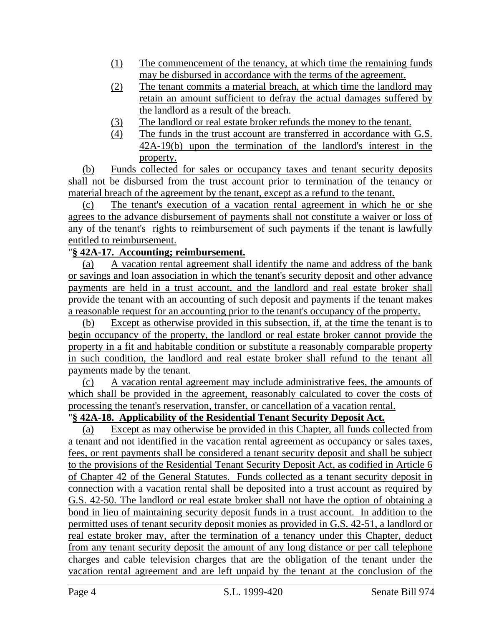- (1) The commencement of the tenancy, at which time the remaining funds may be disbursed in accordance with the terms of the agreement.
- (2) The tenant commits a material breach, at which time the landlord may retain an amount sufficient to defray the actual damages suffered by the landlord as a result of the breach.
- (3) The landlord or real estate broker refunds the money to the tenant.
- (4) The funds in the trust account are transferred in accordance with G.S. 42A-19(b) upon the termination of the landlord's interest in the property.

(b) Funds collected for sales or occupancy taxes and tenant security deposits shall not be disbursed from the trust account prior to termination of the tenancy or material breach of the agreement by the tenant, except as a refund to the tenant.

(c) The tenant's execution of a vacation rental agreement in which he or she agrees to the advance disbursement of payments shall not constitute a waiver or loss of any of the tenant's rights to reimbursement of such payments if the tenant is lawfully entitled to reimbursement.

## "**§ 42A-17. Accounting; reimbursement.**

(a) A vacation rental agreement shall identify the name and address of the bank or savings and loan association in which the tenant's security deposit and other advance payments are held in a trust account, and the landlord and real estate broker shall provide the tenant with an accounting of such deposit and payments if the tenant makes a reasonable request for an accounting prior to the tenant's occupancy of the property.

(b) Except as otherwise provided in this subsection, if, at the time the tenant is to begin occupancy of the property, the landlord or real estate broker cannot provide the property in a fit and habitable condition or substitute a reasonably comparable property in such condition, the landlord and real estate broker shall refund to the tenant all payments made by the tenant.

(c) A vacation rental agreement may include administrative fees, the amounts of which shall be provided in the agreement, reasonably calculated to cover the costs of processing the tenant's reservation, transfer, or cancellation of a vacation rental.

## "**§ 42A-18. Applicability of the Residential Tenant Security Deposit Act.**

(a) Except as may otherwise be provided in this Chapter, all funds collected from a tenant and not identified in the vacation rental agreement as occupancy or sales taxes, fees, or rent payments shall be considered a tenant security deposit and shall be subject to the provisions of the Residential Tenant Security Deposit Act, as codified in Article 6 of Chapter 42 of the General Statutes. Funds collected as a tenant security deposit in connection with a vacation rental shall be deposited into a trust account as required by G.S. 42-50. The landlord or real estate broker shall not have the option of obtaining a bond in lieu of maintaining security deposit funds in a trust account. In addition to the permitted uses of tenant security deposit monies as provided in G.S. 42-51, a landlord or real estate broker may, after the termination of a tenancy under this Chapter, deduct from any tenant security deposit the amount of any long distance or per call telephone charges and cable television charges that are the obligation of the tenant under the vacation rental agreement and are left unpaid by the tenant at the conclusion of the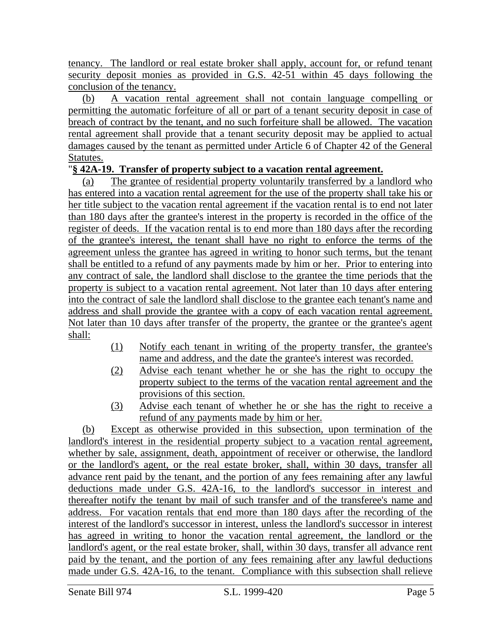tenancy. The landlord or real estate broker shall apply, account for, or refund tenant security deposit monies as provided in G.S. 42-51 within 45 days following the conclusion of the tenancy.

(b) A vacation rental agreement shall not contain language compelling or permitting the automatic forfeiture of all or part of a tenant security deposit in case of breach of contract by the tenant, and no such forfeiture shall be allowed. The vacation rental agreement shall provide that a tenant security deposit may be applied to actual damages caused by the tenant as permitted under Article 6 of Chapter 42 of the General Statutes.

## "**§ 42A-19. Transfer of property subject to a vacation rental agreement.**

(a) The grantee of residential property voluntarily transferred by a landlord who has entered into a vacation rental agreement for the use of the property shall take his or her title subject to the vacation rental agreement if the vacation rental is to end not later than 180 days after the grantee's interest in the property is recorded in the office of the register of deeds. If the vacation rental is to end more than 180 days after the recording of the grantee's interest, the tenant shall have no right to enforce the terms of the agreement unless the grantee has agreed in writing to honor such terms, but the tenant shall be entitled to a refund of any payments made by him or her. Prior to entering into any contract of sale, the landlord shall disclose to the grantee the time periods that the property is subject to a vacation rental agreement. Not later than 10 days after entering into the contract of sale the landlord shall disclose to the grantee each tenant's name and address and shall provide the grantee with a copy of each vacation rental agreement. Not later than 10 days after transfer of the property, the grantee or the grantee's agent shall:

- (1) Notify each tenant in writing of the property transfer, the grantee's name and address, and the date the grantee's interest was recorded.
- (2) Advise each tenant whether he or she has the right to occupy the property subject to the terms of the vacation rental agreement and the provisions of this section.
- (3) Advise each tenant of whether he or she has the right to receive a refund of any payments made by him or her.

(b) Except as otherwise provided in this subsection, upon termination of the landlord's interest in the residential property subject to a vacation rental agreement, whether by sale, assignment, death, appointment of receiver or otherwise, the landlord or the landlord's agent, or the real estate broker, shall, within 30 days, transfer all advance rent paid by the tenant, and the portion of any fees remaining after any lawful deductions made under G.S. 42A-16, to the landlord's successor in interest and thereafter notify the tenant by mail of such transfer and of the transferee's name and address. For vacation rentals that end more than 180 days after the recording of the interest of the landlord's successor in interest, unless the landlord's successor in interest has agreed in writing to honor the vacation rental agreement, the landlord or the landlord's agent, or the real estate broker, shall, within 30 days, transfer all advance rent paid by the tenant, and the portion of any fees remaining after any lawful deductions made under G.S. 42A-16, to the tenant. Compliance with this subsection shall relieve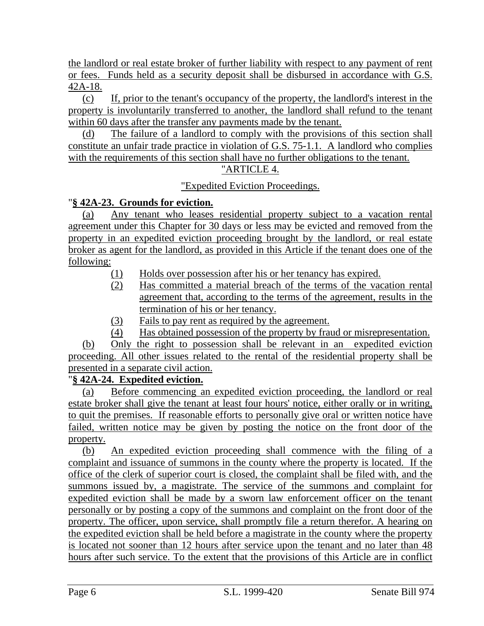the landlord or real estate broker of further liability with respect to any payment of rent or fees. Funds held as a security deposit shall be disbursed in accordance with G.S. 42A-18.

(c) If, prior to the tenant's occupancy of the property, the landlord's interest in the property is involuntarily transferred to another, the landlord shall refund to the tenant within 60 days after the transfer any payments made by the tenant.

(d) The failure of a landlord to comply with the provisions of this section shall constitute an unfair trade practice in violation of G.S. 75-1.1. A landlord who complies with the requirements of this section shall have no further obligations to the tenant.

## "ARTICLE 4.

"Expedited Eviction Proceedings.

## "**§ 42A-23. Grounds for eviction.**

(a) Any tenant who leases residential property subject to a vacation rental agreement under this Chapter for 30 days or less may be evicted and removed from the property in an expedited eviction proceeding brought by the landlord, or real estate broker as agent for the landlord, as provided in this Article if the tenant does one of the following:

- (1) Holds over possession after his or her tenancy has expired.
- (2) Has committed a material breach of the terms of the vacation rental agreement that, according to the terms of the agreement, results in the termination of his or her tenancy.
- (3) Fails to pay rent as required by the agreement.
- (4) Has obtained possession of the property by fraud or misrepresentation.

(b) Only the right to possession shall be relevant in an expedited eviction proceeding. All other issues related to the rental of the residential property shall be presented in a separate civil action.

## "**§ 42A-24. Expedited eviction.**

(a) Before commencing an expedited eviction proceeding, the landlord or real estate broker shall give the tenant at least four hours' notice, either orally or in writing, to quit the premises. If reasonable efforts to personally give oral or written notice have failed, written notice may be given by posting the notice on the front door of the property.

(b) An expedited eviction proceeding shall commence with the filing of a complaint and issuance of summons in the county where the property is located. If the office of the clerk of superior court is closed, the complaint shall be filed with, and the summons issued by, a magistrate. The service of the summons and complaint for expedited eviction shall be made by a sworn law enforcement officer on the tenant personally or by posting a copy of the summons and complaint on the front door of the property. The officer, upon service, shall promptly file a return therefor. A hearing on the expedited eviction shall be held before a magistrate in the county where the property is located not sooner than 12 hours after service upon the tenant and no later than 48 hours after such service. To the extent that the provisions of this Article are in conflict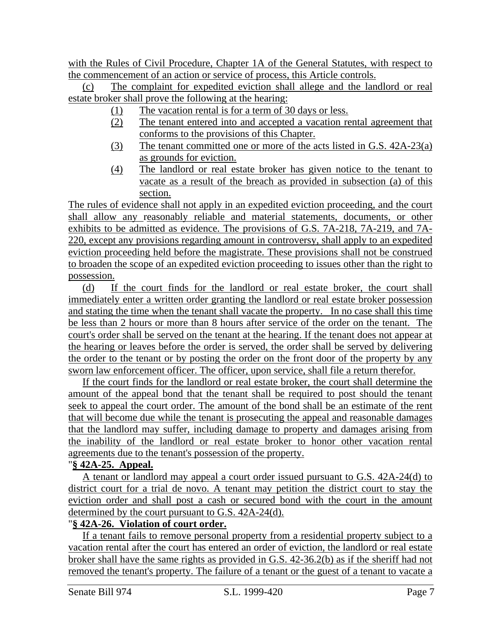with the Rules of Civil Procedure, Chapter 1A of the General Statutes, with respect to the commencement of an action or service of process, this Article controls.

(c) The complaint for expedited eviction shall allege and the landlord or real estate broker shall prove the following at the hearing:

- (1) The vacation rental is for a term of 30 days or less.
- (2) The tenant entered into and accepted a vacation rental agreement that conforms to the provisions of this Chapter.
- (3) The tenant committed one or more of the acts listed in G.S. 42A-23(a) as grounds for eviction.
- (4) The landlord or real estate broker has given notice to the tenant to vacate as a result of the breach as provided in subsection (a) of this section.

The rules of evidence shall not apply in an expedited eviction proceeding, and the court shall allow any reasonably reliable and material statements, documents, or other exhibits to be admitted as evidence. The provisions of G.S. 7A-218, 7A-219, and 7A-220, except any provisions regarding amount in controversy, shall apply to an expedited eviction proceeding held before the magistrate. These provisions shall not be construed to broaden the scope of an expedited eviction proceeding to issues other than the right to possession.

(d) If the court finds for the landlord or real estate broker, the court shall immediately enter a written order granting the landlord or real estate broker possession and stating the time when the tenant shall vacate the property. In no case shall this time be less than 2 hours or more than 8 hours after service of the order on the tenant. The court's order shall be served on the tenant at the hearing. If the tenant does not appear at the hearing or leaves before the order is served, the order shall be served by delivering the order to the tenant or by posting the order on the front door of the property by any sworn law enforcement officer. The officer, upon service, shall file a return therefor.

If the court finds for the landlord or real estate broker, the court shall determine the amount of the appeal bond that the tenant shall be required to post should the tenant seek to appeal the court order. The amount of the bond shall be an estimate of the rent that will become due while the tenant is prosecuting the appeal and reasonable damages that the landlord may suffer, including damage to property and damages arising from the inability of the landlord or real estate broker to honor other vacation rental agreements due to the tenant's possession of the property.

#### "**§ 42A-25. Appeal.**

A tenant or landlord may appeal a court order issued pursuant to G.S. 42A-24(d) to district court for a trial de novo. A tenant may petition the district court to stay the eviction order and shall post a cash or secured bond with the court in the amount determined by the court pursuant to G.S. 42A-24(d).

#### "**§ 42A-26. Violation of court order.**

If a tenant fails to remove personal property from a residential property subject to a vacation rental after the court has entered an order of eviction, the landlord or real estate broker shall have the same rights as provided in G.S. 42-36.2(b) as if the sheriff had not removed the tenant's property. The failure of a tenant or the guest of a tenant to vacate a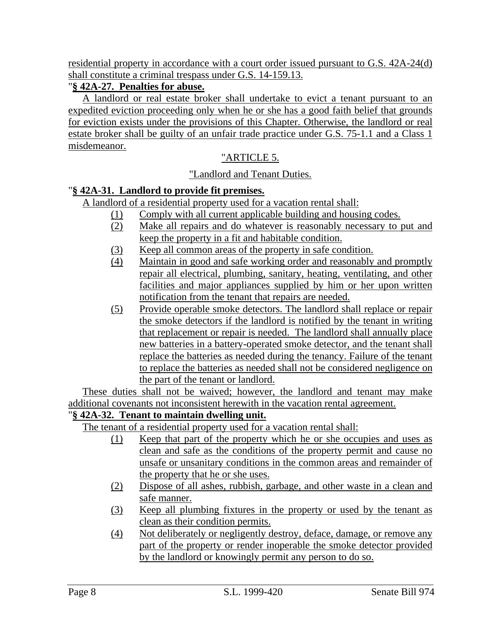residential property in accordance with a court order issued pursuant to G.S. 42A-24(d) shall constitute a criminal trespass under G.S. 14-159.13.

## "**§ 42A-27. Penalties for abuse.**

A landlord or real estate broker shall undertake to evict a tenant pursuant to an expedited eviction proceeding only when he or she has a good faith belief that grounds for eviction exists under the provisions of this Chapter. Otherwise, the landlord or real estate broker shall be guilty of an unfair trade practice under G.S. 75-1.1 and a Class 1 misdemeanor.

# "ARTICLE 5.

## "Landlord and Tenant Duties.

## "**§ 42A-31. Landlord to provide fit premises.**

A landlord of a residential property used for a vacation rental shall:

- (1) Comply with all current applicable building and housing codes.
- (2) Make all repairs and do whatever is reasonably necessary to put and keep the property in a fit and habitable condition.
- (3) Keep all common areas of the property in safe condition.
- (4) Maintain in good and safe working order and reasonably and promptly repair all electrical, plumbing, sanitary, heating, ventilating, and other facilities and major appliances supplied by him or her upon written notification from the tenant that repairs are needed.
- (5) Provide operable smoke detectors. The landlord shall replace or repair the smoke detectors if the landlord is notified by the tenant in writing that replacement or repair is needed. The landlord shall annually place new batteries in a battery-operated smoke detector, and the tenant shall replace the batteries as needed during the tenancy. Failure of the tenant to replace the batteries as needed shall not be considered negligence on the part of the tenant or landlord.

These duties shall not be waived; however, the landlord and tenant may make additional covenants not inconsistent herewith in the vacation rental agreement.

# "**§ 42A-32. Tenant to maintain dwelling unit.**

The tenant of a residential property used for a vacation rental shall:

- (1) Keep that part of the property which he or she occupies and uses as clean and safe as the conditions of the property permit and cause no unsafe or unsanitary conditions in the common areas and remainder of the property that he or she uses.
- (2) Dispose of all ashes, rubbish, garbage, and other waste in a clean and safe manner.
- (3) Keep all plumbing fixtures in the property or used by the tenant as clean as their condition permits.
- (4) Not deliberately or negligently destroy, deface, damage, or remove any part of the property or render inoperable the smoke detector provided by the landlord or knowingly permit any person to do so.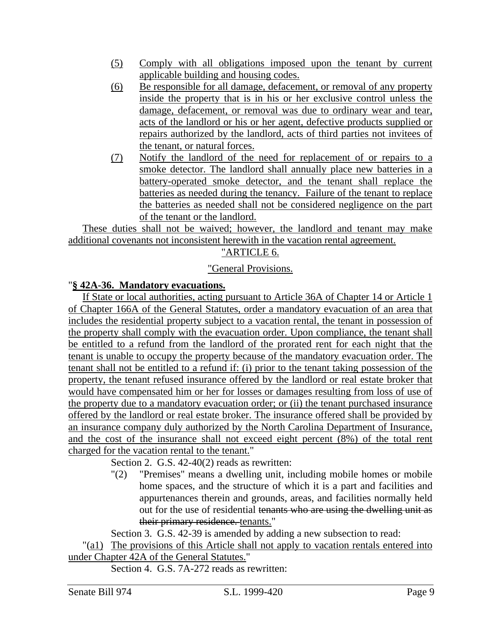- (5) Comply with all obligations imposed upon the tenant by current applicable building and housing codes.
- (6) Be responsible for all damage, defacement, or removal of any property inside the property that is in his or her exclusive control unless the damage, defacement, or removal was due to ordinary wear and tear, acts of the landlord or his or her agent, defective products supplied or repairs authorized by the landlord, acts of third parties not invitees of the tenant, or natural forces.
- (7) Notify the landlord of the need for replacement of or repairs to a smoke detector. The landlord shall annually place new batteries in a battery-operated smoke detector, and the tenant shall replace the batteries as needed during the tenancy. Failure of the tenant to replace the batteries as needed shall not be considered negligence on the part of the tenant or the landlord.

These duties shall not be waived; however, the landlord and tenant may make additional covenants not inconsistent herewith in the vacation rental agreement.

## "ARTICLE 6.

#### "General Provisions.

#### "**§ 42A-36. Mandatory evacuations.**

If State or local authorities, acting pursuant to Article 36A of Chapter 14 or Article 1 of Chapter 166A of the General Statutes, order a mandatory evacuation of an area that includes the residential property subject to a vacation rental, the tenant in possession of the property shall comply with the evacuation order. Upon compliance, the tenant shall be entitled to a refund from the landlord of the prorated rent for each night that the tenant is unable to occupy the property because of the mandatory evacuation order. The tenant shall not be entitled to a refund if: (i) prior to the tenant taking possession of the property, the tenant refused insurance offered by the landlord or real estate broker that would have compensated him or her for losses or damages resulting from loss of use of the property due to a mandatory evacuation order; or (ii) the tenant purchased insurance offered by the landlord or real estate broker. The insurance offered shall be provided by an insurance company duly authorized by the North Carolina Department of Insurance, and the cost of the insurance shall not exceed eight percent (8%) of the total rent charged for the vacation rental to the tenant."

Section 2. G.S. 42-40(2) reads as rewritten:

"(2) "Premises" means a dwelling unit, including mobile homes or mobile home spaces, and the structure of which it is a part and facilities and appurtenances therein and grounds, areas, and facilities normally held out for the use of residential tenants who are using the dwelling unit as their primary residence. tenants."

Section 3. G.S. 42-39 is amended by adding a new subsection to read:

"(a1) The provisions of this Article shall not apply to vacation rentals entered into under Chapter 42A of the General Statutes."

Section 4. G.S. 7A-272 reads as rewritten: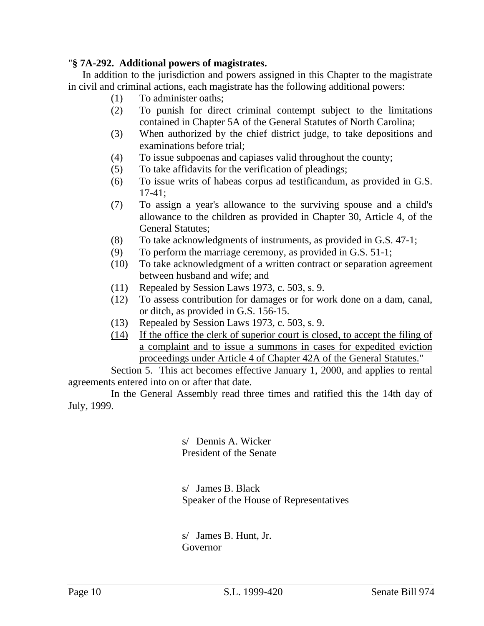### "**§ 7A-292. Additional powers of magistrates.**

In addition to the jurisdiction and powers assigned in this Chapter to the magistrate in civil and criminal actions, each magistrate has the following additional powers:

- (1) To administer oaths;
- (2) To punish for direct criminal contempt subject to the limitations contained in Chapter 5A of the General Statutes of North Carolina;
- (3) When authorized by the chief district judge, to take depositions and examinations before trial;
- (4) To issue subpoenas and capiases valid throughout the county;
- (5) To take affidavits for the verification of pleadings;
- (6) To issue writs of habeas corpus ad testificandum, as provided in G.S. 17-41;
- (7) To assign a year's allowance to the surviving spouse and a child's allowance to the children as provided in Chapter 30, Article 4, of the General Statutes;
- (8) To take acknowledgments of instruments, as provided in G.S. 47-1;
- (9) To perform the marriage ceremony, as provided in G.S. 51-1;
- (10) To take acknowledgment of a written contract or separation agreement between husband and wife; and
- (11) Repealed by Session Laws 1973, c. 503, s. 9.
- (12) To assess contribution for damages or for work done on a dam, canal, or ditch, as provided in G.S. 156-15.
- (13) Repealed by Session Laws 1973, c. 503, s. 9.
- (14) If the office the clerk of superior court is closed, to accept the filing of a complaint and to issue a summons in cases for expedited eviction proceedings under Article 4 of Chapter 42A of the General Statutes."

Section 5. This act becomes effective January 1, 2000, and applies to rental agreements entered into on or after that date.

In the General Assembly read three times and ratified this the 14th day of July, 1999.

> s/ Dennis A. Wicker President of the Senate

s/ James B. Black Speaker of the House of Representatives

s/ James B. Hunt, Jr. Governor